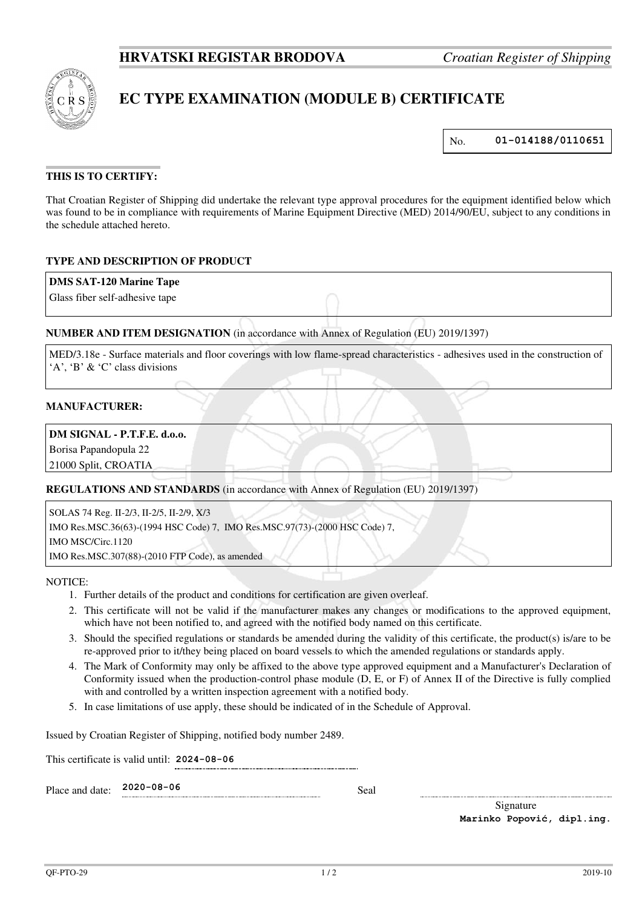

# **EC TYPE EXAMINATION (MODULE B) CERTIFICATE**

No. **01-014188/0110651**

# **THIS IS TO CERTIFY:**

That Croatian Register of Shipping did undertake the relevant type approval procedures for the equipment identified below which was found to be in compliance with requirements of Marine Equipment Directive (MED) 2014/90/EU, subject to any conditions in the schedule attached hereto.

# **TYPE AND DESCRIPTION OF PRODUCT**

## **DMS SAT-120 Marine Tape**

Glass fiber self-adhesive tape

# **NUMBER AND ITEM DESIGNATION** (in accordance with Annex of Regulation (EU) 2019/1397)

MED/3.18e - Surface materials and floor coverings with low flame-spread characteristics - adhesives used in the construction of 'A', 'B' & 'C' class divisions

#### **MANUFACTURER:**

# **DM SIGNAL - P.T.F.E. d.o.o.**

Borisa Papandopula 22

21000 Split, CROATIA

**REGULATIONS AND STANDARDS** (in accordance with Annex of Regulation (EU) 2019/1397)

SOLAS 74 Reg. II-2/3, II-2/5, II-2/9, X/3 IMO Res.MSC.36(63)-(1994 HSC Code) 7, IMO Res.MSC.97(73)-(2000 HSC Code) 7, IMO MSC/Circ.1120 IMO Res.MSC.307(88)-(2010 FTP Code), as amended

NOTICE:

- 1. Further details of the product and conditions for certification are given overleaf.
- 2. This certificate will not be valid if the manufacturer makes any changes or modifications to the approved equipment, which have not been notified to, and agreed with the notified body named on this certificate.
- 3. Should the specified regulations or standards be amended during the validity of this certificate, the product(s) is/are to be re-approved prior to it/they being placed on board vessels to which the amended regulations or standards apply.
- 4. The Mark of Conformity may only be affixed to the above type approved equipment and a Manufacturer's Declaration of Conformity issued when the production-control phase module (D, E, or F) of Annex II of the Directive is fully complied with and controlled by a written inspection agreement with a notified body.
- 5. In case limitations of use apply, these should be indicated of in the Schedule of Approval.

Issued by Croatian Register of Shipping, notified body number 2489.

This certificate is valid until: **2024-08-06** 

Place and date: **2020-08-06** Seal

Signature **Marinko Popović, dipl.ing.**